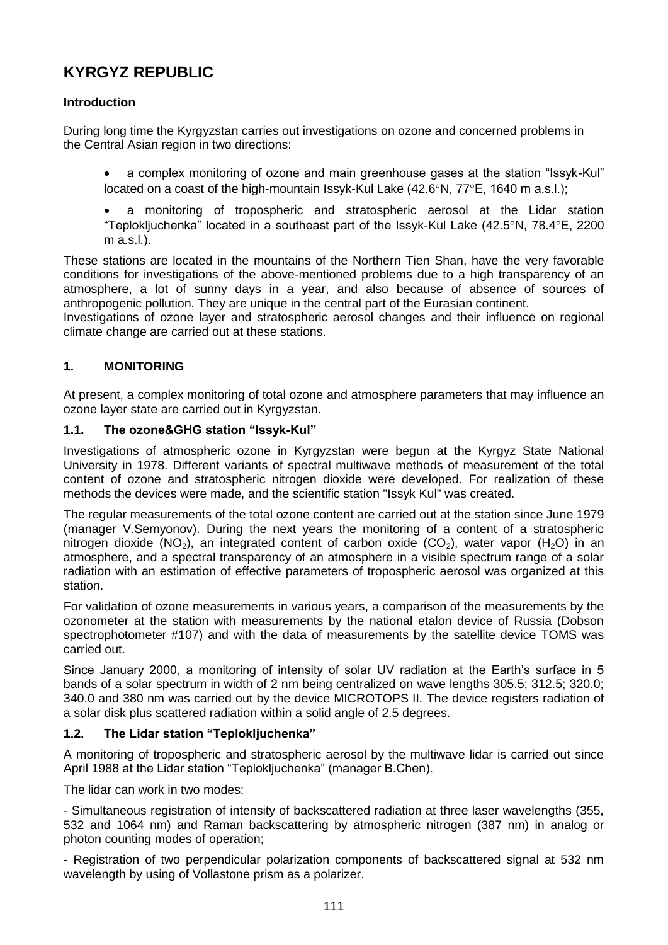# **KYRGYZ REPUBLIC**

# **Introduction**

During long time the Kyrgyzstan carries out investigations on ozone and concerned problems in the Central Asian region in two directions:

- a complex monitoring of ozone and main greenhouse gases at the station "Issyk-Kul" located on a coast of the high-mountain Issyk-Kul Lake  $(42.6^{\circ}N, 77^{\circ}E, 1640 \text{ m a.s.}I)$ ;
- a monitoring of tropospheric and stratospheric aerosol at the Lidar station "Teplokljuchenka" located in a southeast part of the Issyk-Kul Lake  $(42.5^{\circ}N, 78.4^{\circ}E, 2200)$ m a.s.l.).

These stations are located in the mountains of the Northern Tien Shan, have the very favorable conditions for investigations of the above-mentioned problems due to a high transparency of an atmosphere, a lot of sunny days in a year, and also because of absence of sources of anthropogenic pollution. They are unique in the central part of the Eurasian continent.

Investigations of ozone layer and stratospheric aerosol changes and their influence on regional climate change are carried out at these stations.

# **1. MONITORING**

At present, a complex monitoring of total ozone and atmosphere parameters that may influence an ozone layer state are carried out in Kyrgyzstan.

#### **1.1. The ozone&GHG station "Issyk-Kul"**

Investigations of atmospheric ozone in Kyrgyzstan were begun at the Kyrgyz State National University in 1978. Different variants of spectral multiwave methods of measurement of the total content of ozone and stratospheric nitrogen dioxide were developed. For realization of these methods the devices were made, and the scientific station "Issyk Kul" was created.

The regular measurements of the total ozone content are carried out at the station since June 1979 (manager V.Semyonov). During the next years the monitoring of a content of a stratospheric nitrogen dioxide (NO<sub>2</sub>), an integrated content of carbon oxide (CO<sub>2</sub>), water vapor (H<sub>2</sub>O) in an atmosphere, and a spectral transparency of an atmosphere in a visible spectrum range of a solar radiation with an estimation of effective parameters of tropospheric aerosol was organized at this station.

For validation of ozone measurements in various years, a comparison of the measurements by the ozonometer at the station with measurements by the national etalon device of Russia (Dobson spectrophotometer #107) and with the data of measurements by the satellite device TOMS was carried out.

Since January 2000, a monitoring of intensity of solar UV radiation at the Earth's surface in 5 bands of a solar spectrum in width of 2 nm being centralized on wave lengths 305.5; 312.5; 320.0; 340.0 and 380 nm was carried out by the device MICROTOPS II. The device registers radiation of a solar disk plus scattered radiation within a solid angle of 2.5 degrees.

# **1.2. The Lidar station "Teplokljuchenka"**

A monitoring of tropospheric and stratospheric aerosol by the multiwave lidar is carried out since April 1988 at the Lidar station "Teplokljuchenka" (manager B.Chen).

The lidar can work in two modes:

- Simultaneous registration of intensity of backscattered radiation at three laser wavelengths (355, 532 and 1064 nm) and Raman backscattering by atmospheric nitrogen (387 nm) in analog or photon counting modes of operation;

- Registration of two perpendicular polarization components of backscattered signal at 532 nm wavelength by using of Vollastone prism as a polarizer.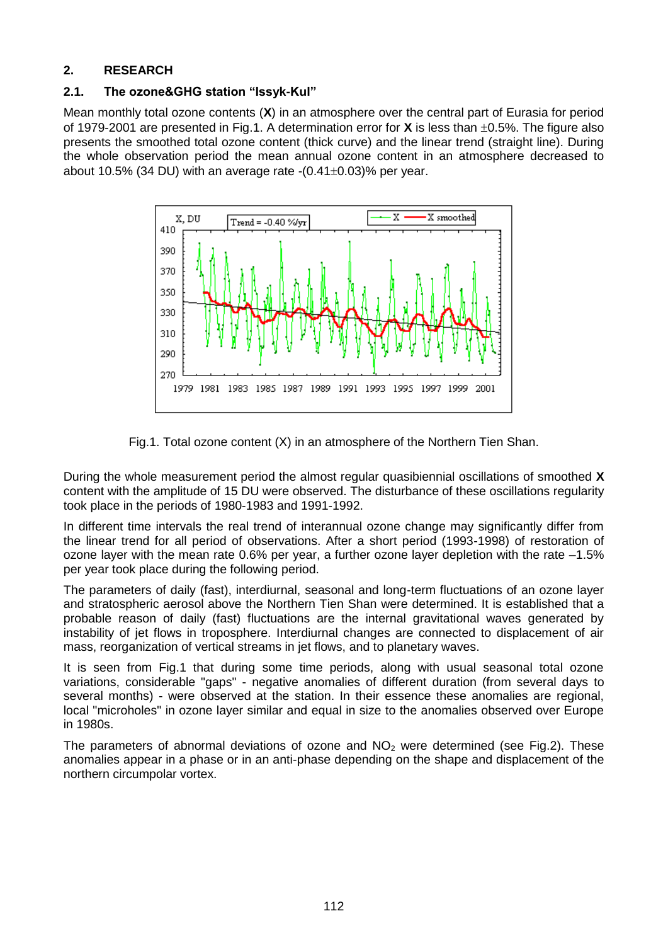# **2. RESEARCH**

### **2.1. The ozone&GHG station "Issyk-Kul"**

Mean monthly total ozone contents (**X**) in an atmosphere over the central part of Eurasia for period of 1979-2001 are presented in Fig.1. A determination error for **X** is less than  $\pm 0.5$ %. The figure also presents the smoothed total ozone content (thick curve) and the linear trend (straight line). During the whole observation period the mean annual ozone content in an atmosphere decreased to about 10.5% (34 DU) with an average rate  $-(0.41\pm0.03)\%$  per year.



Fig.1. Total ozone content (X) in an atmosphere of the Northern Tien Shan.

During the whole measurement period the almost regular quasibiennial oscillations of smoothed **X**  content with the amplitude of 15 DU were observed. The disturbance of these oscillations regularity took place in the periods of 1980-1983 and 1991-1992.

In different time intervals the real trend of interannual ozone change may significantly differ from the linear trend for all period of observations. After a short period (1993-1998) of restoration of ozone layer with the mean rate 0.6% per year, a further ozone layer depletion with the rate –1.5% per year took place during the following period.

The parameters of daily (fast), interdiurnal, seasonal and long-term fluctuations of an ozone layer and stratospheric aerosol above the Northern Tien Shan were determined. It is established that a probable reason of daily (fast) fluctuations are the internal gravitational waves generated by instability of jet flows in troposphere. Interdiurnal changes are connected to displacement of air mass, reorganization of vertical streams in jet flows, and to planetary waves.

It is seen from Fig.1 that during some time periods, along with usual seasonal total ozone variations, considerable "gaps" - negative anomalies of different duration (from several days to several months) - were observed at the station. In their essence these anomalies are regional, local "microholes" in ozone layer similar and equal in size to the anomalies observed over Europe in 1980s.

The parameters of abnormal deviations of ozone and  $NO<sub>2</sub>$  were determined (see Fig.2). These anomalies appear in a phase or in an anti-phase depending on the shape and displacement of the northern circumpolar vortex.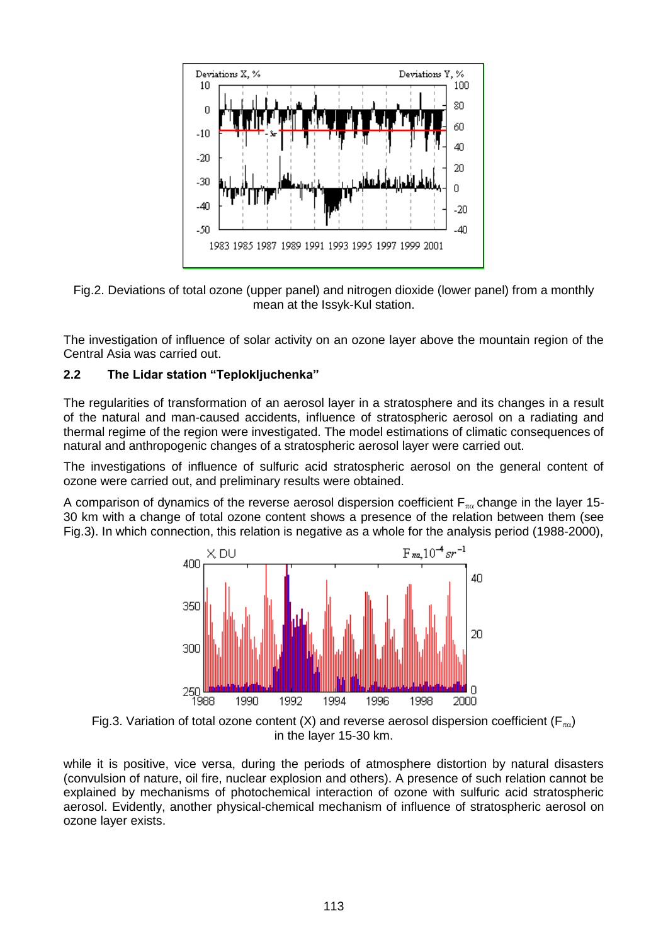

Fig.2. Deviations of total ozone (upper panel) and nitrogen dioxide (lower panel) from a monthly mean at the Issyk-Kul station.

The investigation of influence of solar activity on an ozone layer above the mountain region of the Central Asia was carried out.

# **2.2 The Lidar station "Teplokljuchenka"**

The regularities of transformation of an aerosol layer in a stratosphere and its changes in a result of the natural and man-caused accidents, influence of stratospheric aerosol on a radiating and thermal regime of the region were investigated. The model estimations of climatic consequences of natural and anthropogenic changes of a stratospheric aerosol layer were carried out.

The investigations of influence of sulfuric acid stratospheric aerosol on the general content of ozone were carried out, and preliminary results were obtained.

A comparison of dynamics of the reverse aerosol dispersion coefficient  $F_{\pi\alpha}$  change in the layer 15-30 km with a change of total ozone content shows a presence of the relation between them (see Fig.3). In which connection, this relation is negative as a whole for the analysis period (1988-2000),



Fig.3. Variation of total ozone content (X) and reverse aerosol dispersion coefficient ( $F_{\pi\alpha}$ ) in the layer 15-30 km.

while it is positive, vice versa, during the periods of atmosphere distortion by natural disasters (convulsion of nature, oil fire, nuclear explosion and others). A presence of such relation cannot be explained by mechanisms of photochemical interaction of ozone with sulfuric acid stratospheric aerosol. Evidently, another physical-chemical mechanism of influence of stratospheric aerosol on ozone layer exists.